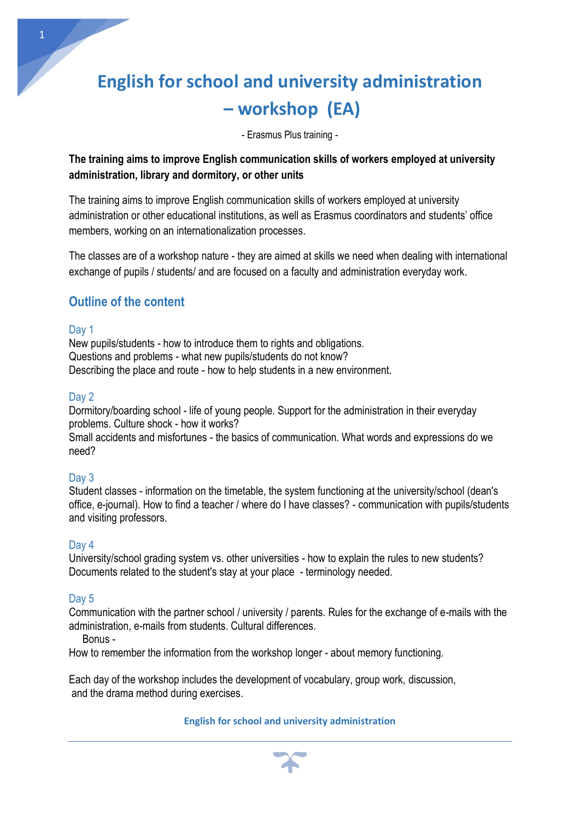# **[English for school and university administration](https://www.hinkerhub.pl/pl/oferta----pl) – [workshop \(EA\)](https://www.hinkerhub.pl/pl/oferta----pl)**

- Erasmus Plus training -

# **The training aims to improve English communication skills of workers employed at university administration, library and dormitory, or other units**

The training aims to improve English communication skills of workers employed at university administration or other educational institutions, as well as Erasmus coordinators and students' office members, working on an internationalization processes.

The classes are of a workshop nature - they are aimed at skills we need when dealing with international exchange of pupils / students/ and are focused on a faculty and administration everyday work.

# **Outline of the content**

#### Day 1

1

New pupils/students - how to introduce them to rights and obligations. Questions and problems - what new pupils/students do not know? Describing the place and route - how to help students in a new environment.

#### Day 2

Dormitory/boarding school - life of young people. Support for the administration in their everyday problems. Culture shock - how it works?

Small accidents and misfortunes - the basics of communication. What words and expressions do we need?

# Day 3

Student classes - information on the timetable, the system functioning at the university/school (dean's office, e-journal). How to find a teacher / where do I have classes? - communication with pupils/students and visiting professors.

# Day 4

University/school grading system vs. other universities - how to explain the rules to new students? Documents related to the student's stay at your place - terminology needed.

# Day 5

Communication with the partner school / university / parents. Rules for the exchange of e-mails with the administration, e-mails from students. Cultural differences.

Bonus -

How to remember the information from the workshop longer - about memory functioning.

Each day of the workshop includes the development of vocabulary, group work, discussion, and the drama method during exercises.

#### **English for school and university administration**